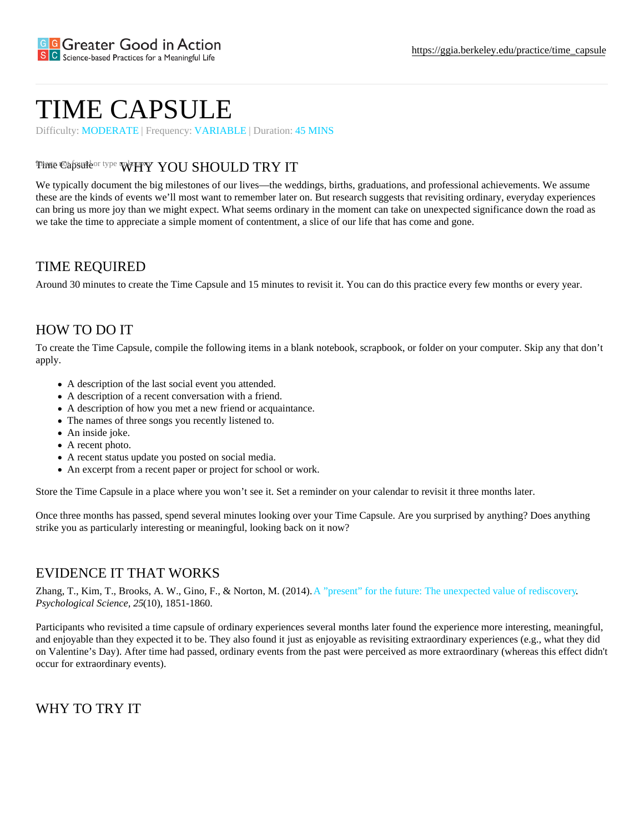# TIME CAPSULE

Difficulty: MODERATE | FrequencyVARIABLE | Duration: 45 MINS

### Time Capsuleor typ $\mathsf{WW}$ MY'YOU SHOULD TRY IT

We typically document the big milestones of our lives—the weddings, births, graduations, and professional achievements. We assume these are the kinds of events we'll most want to remember later on. But research suggests that revisiting ordinary, everyday experience can bring us more joy than we might expect. What seems ordinary in the moment can take on unexpected significance down the road we take the time to appreciate a simple moment of contentment, a slice of our life that has come and gone.

#### TIME REQUIRED

Around 30 minutes to create the Time Capsule and 15 minutes to revisit it. You can do this practice every few months or every year.

## HOW TO DO IT

To create the Time Capsule, compile the following items in a blank notebook, scrapbook, or folder on your computer. Skip any that don't apply.

- A description of the last social event you attended.
- A description of a recent conversation with a friend.
- A description of how you met a new friend or acquaintance.
- The names of three songs you recently listened to.
- An inside joke.
- A recent photo.
- A recent status update you posted on social media.
- An excerpt from a recent paper or project for school or work.

Store the Time Capsule in a place where you won't see it. Set a reminder on your calendar to revisit it three months later.

Once three months has passed, spend several minutes looking over your Time Capsule. Are you surprised by anything? Does anything strike you as particularly interesting or meaningful, looking back on it now?

#### EVIDENCE IT THAT WORKS

Zhang, T., Kim, T., Brooks, A. W., Gino, F., & Norton, M. (2014)<sup>\*</sup> present" for the future: The unexpected value of rediscovery Psychological Science,  $(215)$ , 1851-1860.

Participants who revisited a time capsule of ordinary experiences several months later found the experience more interesting, meanin and enjoyable than they expected it to be. They also found it just as enjoyable as revisiting extraordinary experiences (e.g., what they on Valentine's Day). After time had passed, ordinary events from the past were perceived as more extraordinary (whereas this effect didn't) occur for extraordinary events).

WHY TO TRY IT